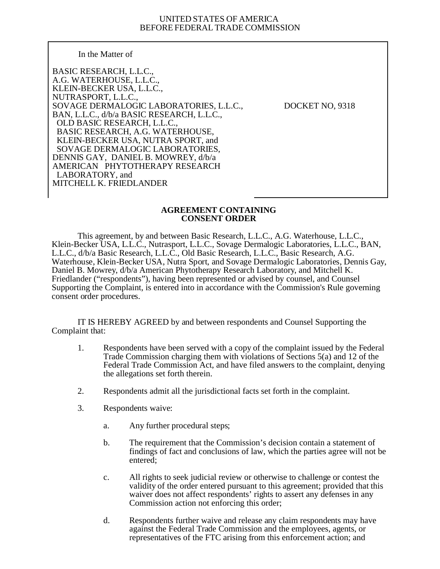## UNITED STATES OF AMERICA BEFORE FEDERAL TRADE COMMISSION

## In the Matter of

BASIC RESEARCH, L.L.C., A.G. WATERHOUSE, L.L.C., KLEIN-BECKER USA, L.L.C., NUTRASPORT, L.L.C., SOVAGE DERMALOGIC LABORATORIES, L.L.C., DOCKET NO, 9318 BAN, L.L.C., d/b/a BASIC RESEARCH, L.L.C., OLD BASIC RESEARCH, L.L.C., BASIC RESEARCH, A.G. WATERHOUSE, KLEIN-BECKER USA, NUTRA SPORT, and SOVAGE DERMALOGIC LABORATORIES, DENNIS GAY, DANIEL B. MOWREY, d/b/a AMERICAN PHYTOTHERAPY RESEARCH LABORATORY, and MITCHELL K. FRIEDLANDER

# **AGREEMENT CONTAINING CONSENT ORDER**

This agreement, by and between Basic Research, L.L.C., A.G. Waterhouse, L.L.C., Klein-Becker USA, L.L.C., Nutrasport, L.L.C., Sovage Dermalogic Laboratories, L.L.C., BAN, L.L.C., d/b/a Basic Research, L.L.C., Old Basic Research, L.L.C., Basic Research, A.G. Waterhouse, Klein-Becker USA, Nutra Sport, and Sovage Dermalogic Laboratories, Dennis Gay, Daniel B. Mowrey, d/b/a American Phytotherapy Research Laboratory, and Mitchell K. Friedlander ("respondents"), having been represented or advised by counsel, and Counsel Supporting the Complaint, is entered into in accordance with the Commission's Rule governing consent order procedures.

IT IS HEREBY AGREED by and between respondents and Counsel Supporting the Complaint that:

- 1. Respondents have been served with a copy of the complaint issued by the Federal Trade Commission charging them with violations of Sections 5(a) and 12 of the Federal Trade Commission Act, and have filed answers to the complaint, denying the allegations set forth therein.
- 2. Respondents admit all the jurisdictional facts set forth in the complaint.
- 3. Respondents waive:
	- a. Any further procedural steps;
	- b. The requirement that the Commission's decision contain a statement of findings of fact and conclusions of law, which the parties agree will not be entered;
	- c. All rights to seek judicial review or otherwise to challenge or contest the validity of the order entered pursuant to this agreement; provided that this waiver does not affect respondents' rights to assert any defenses in any Commission action not enforcing this order;
	- d. Respondents further waive and release any claim respondents may have against the Federal Trade Commission and the employees, agents, or representatives of the FTC arising from this enforcement action; and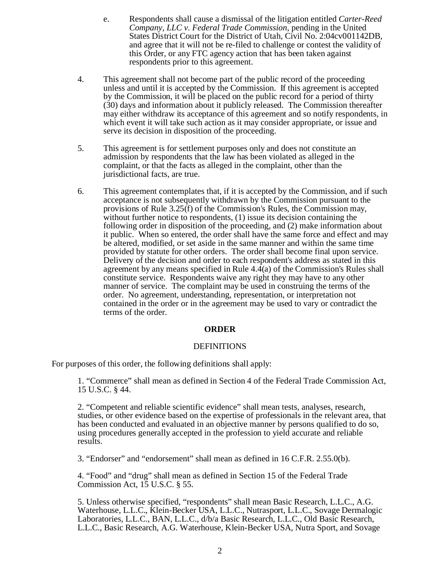- e. Respondents shall cause a dismissal of the litigation entitled *Carter-Reed Company, LLC v. Federal Trade Commission*, pending in the United States District Court for the District of Utah, Civil No. 2:04cv001142DB, and agree that it will not be re-filed to challenge or contest the validity of this Order, or any FTC agency action that has been taken against respondents prior to this agreement.
- 4. This agreement shall not become part of the public record of the proceeding unless and until it is accepted by the Commission. If this agreement is accepted by the Commission, it will be placed on the public record for a period of thirty (30) days and information about it publicly released. The Commission thereafter may either withdraw its acceptance of this agreement and so notify respondents, in which event it will take such action as it may consider appropriate, or issue and serve its decision in disposition of the proceeding.
- 5. This agreement is for settlement purposes only and does not constitute an admission by respondents that the law has been violated as alleged in the complaint, or that the facts as alleged in the complaint, other than the jurisdictional facts, are true.
- 6. This agreement contemplates that, if it is accepted by the Commission, and if such acceptance is not subsequently withdrawn by the Commission pursuant to the provisions of Rule 3.25(f) of the Commission's Rules, the Commission may, without further notice to respondents, (1) issue its decision containing the following order in disposition of the proceeding, and (2) make information about it public. When so entered, the order shall have the same force and effect and may be altered, modified, or set aside in the same manner and within the same time provided by statute for other orders. The order shall become final upon service. Delivery of the decision and order to each respondent's address as stated in this agreement by any means specified in Rule  $4.\overline{4}(a)$  of the Commission's Rules shall constitute service. Respondents waive any right they may have to any other manner of service. The complaint may be used in construing the terms of the order. No agreement, understanding, representation, or interpretation not contained in the order or in the agreement may be used to vary or contradict the terms of the order.

# **ORDER**

# DEFINITIONS

For purposes of this order, the following definitions shall apply:

1. "Commerce" shall mean as defined in Section 4 of the Federal Trade Commission Act, 15 U.S.C. § 44.

2. "Competent and reliable scientific evidence" shall mean tests, analyses, research, studies, or other evidence based on the expertise of professionals in the relevant area, that has been conducted and evaluated in an objective manner by persons qualified to do so, using procedures generally accepted in the profession to yield accurate and reliable results.

3. "Endorser" and "endorsement" shall mean as defined in 16 C.F.R. 2.55.0(b).

4. "Food" and "drug" shall mean as defined in Section 15 of the Federal Trade Commission Act, 15 U.S.C. § 55.

5. Unless otherwise specified, "respondents" shall mean Basic Research, L.L.C., A.G. Waterhouse, L.L.C., Klein-Becker USA, L.L.C., Nutrasport, L.L.C., Sovage Dermalogic Laboratories, L.L.C., BAN, L.L.C., d/b/a Basic Research, L.L.C., Old Basic Research, L.L.C., Basic Research, A.G. Waterhouse, Klein-Becker USA, Nutra Sport, and Sovage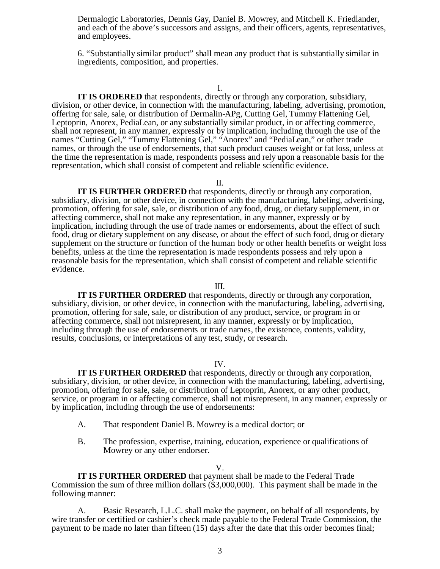Dermalogic Laboratories, Dennis Gay, Daniel B. Mowrey, and Mitchell K. Friedlander, and each of the above's successors and assigns, and their officers, agents, representatives, and employees.

6. "Substantially similar product" shall mean any product that is substantially similar in ingredients, composition, and properties.

I.

**IT IS ORDERED** that respondents, directly or through any corporation, subsidiary, division, or other device, in connection with the manufacturing, labeling, advertising, promotion, offering for sale, sale, or distribution of Dermalin-APg, Cutting Gel, Tummy Flattening Gel, Leptoprin, Anorex, PediaLean, or any substantially similar product, in or affecting commerce, shall not represent, in any manner, expressly or by implication, including through the use of the names "Cutting Gel," "Tummy Flattening Gel," "Anorex" and "PediaLean," or other trade names, or through the use of endorsements, that such product causes weight or fat loss, unless at the time the representation is made, respondents possess and rely upon a reasonable basis for the representation, which shall consist of competent and reliable scientific evidence.

II.

**IT IS FURTHER ORDERED** that respondents, directly or through any corporation, subsidiary, division, or other device, in connection with the manufacturing, labeling, advertising, promotion, offering for sale, sale, or distribution of any food, drug, or dietary supplement, in or affecting commerce, shall not make any representation, in any manner, expressly or by implication, including through the use of trade names or endorsements, about the effect of such food, drug or dietary supplement on any disease, or about the effect of such food, drug or dietary supplement on the structure or function of the human body or other health benefits or weight loss benefits, unless at the time the representation is made respondents possess and rely upon a reasonable basis for the representation, which shall consist of competent and reliable scientific evidence.

#### III.

**IT IS FURTHER ORDERED** that respondents, directly or through any corporation, subsidiary, division, or other device, in connection with the manufacturing, labeling, advertising, promotion, offering for sale, sale, or distribution of any product, service, or program in or affecting commerce, shall not misrepresent, in any manner, expressly or by implication, including through the use of endorsements or trade names, the existence, contents, validity, results, conclusions, or interpretations of any test, study, or research.

## IV.

**IT IS FURTHER ORDERED** that respondents, directly or through any corporation, subsidiary, division, or other device, in connection with the manufacturing, labeling, advertising, promotion, offering for sale, sale, or distribution of Leptoprin, Anorex, or any other product, service, or program in or affecting commerce, shall not misrepresent, in any manner, expressly or by implication, including through the use of endorsements:

- A. That respondent Daniel B. Mowrey is a medical doctor; or
- B. The profession, expertise, training, education, experience or qualifications of Mowrey or any other endorser.

#### V.

**IT IS FURTHER ORDERED** that payment shall be made to the Federal Trade Commission the sum of three million dollars (\$3,000,000). This payment shall be made in the following manner:

A. Basic Research, L.L.C. shall make the payment, on behalf of all respondents, by wire transfer or certified or cashier's check made payable to the Federal Trade Commission, the payment to be made no later than fifteen (15) days after the date that this order becomes final;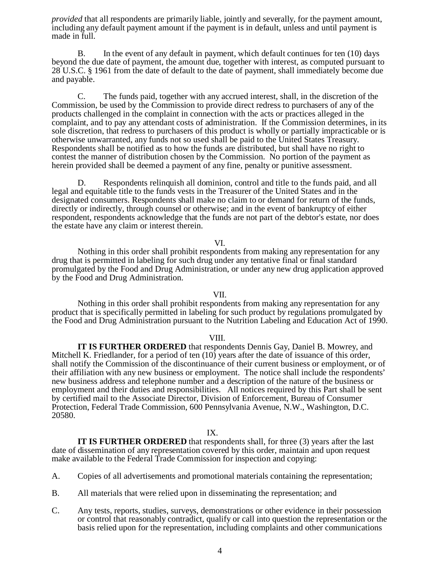*provided* that all respondents are primarily liable, jointly and severally, for the payment amount, including any default payment amount if the payment is in default, unless and until payment is made in full.

B. In the event of any default in payment, which default continues for ten (10) days beyond the due date of payment, the amount due, together with interest, as computed pursuant to 28 U.S.C. § 1961 from the date of default to the date of payment, shall immediately become due and payable.

C. The funds paid, together with any accrued interest, shall, in the discretion of the Commission, be used by the Commission to provide direct redress to purchasers of any of the products challenged in the complaint in connection with the acts or practices alleged in the complaint, and to pay any attendant costs of administration. If the Commission determines, in its sole discretion, that redress to purchasers of this product is wholly or partially impracticable or is otherwise unwarranted, any funds not so used shall be paid to the United States Treasury. Respondents shall be notified as to how the funds are distributed, but shall have no right to contest the manner of distribution chosen by the Commission. No portion of the payment as herein provided shall be deemed a payment of any fine, penalty or punitive assessment.

D. Respondents relinquish all dominion, control and title to the funds paid, and all legal and equitable title to the funds vests in the Treasurer of the United States and in the designated consumers. Respondents shall make no claim to or demand for return of the funds, directly or indirectly, through counsel or otherwise; and in the event of bankruptcy of either respondent, respondents acknowledge that the funds are not part of the debtor's estate, nor does the estate have any claim or interest therein.

## VI.

Nothing in this order shall prohibit respondents from making any representation for any drug that is permitted in labeling for such drug under any tentative final or final standard promulgated by the Food and Drug Administration, or under any new drug application approved by the Food and Drug Administration.

## VII.

Nothing in this order shall prohibit respondents from making any representation for any product that is specifically permitted in labeling for such product by regulations promulgated by the Food and Drug Administration pursuant to the Nutrition Labeling and Education Act of 1990.

## VIII.

**IT IS FURTHER ORDERED** that respondents Dennis Gay, Daniel B. Mowrey, and Mitchell K. Friedlander, for a period of ten (10) years after the date of issuance of this order, shall notify the Commission of the discontinuance of their current business or employment, or of their affiliation with any new business or employment. The notice shall include the respondents' new business address and telephone number and a description of the nature of the business or employment and their duties and responsibilities. All notices required by this Part shall be sent by certified mail to the Associate Director, Division of Enforcement, Bureau of Consumer Protection, Federal Trade Commission, 600 Pennsylvania Avenue, N.W., Washington, D.C. 20580.

# IX.

**IT IS FURTHER ORDERED** that respondents shall, for three (3) years after the last date of dissemination of any representation covered by this order, maintain and upon request make available to the Federal Trade Commission for inspection and copying:

- A. Copies of all advertisements and promotional materials containing the representation;
- B. All materials that were relied upon in disseminating the representation; and
- C. Any tests, reports, studies, surveys, demonstrations or other evidence in their possession or control that reasonably contradict, qualify or call into question the representation or the basis relied upon for the representation, including complaints and other communications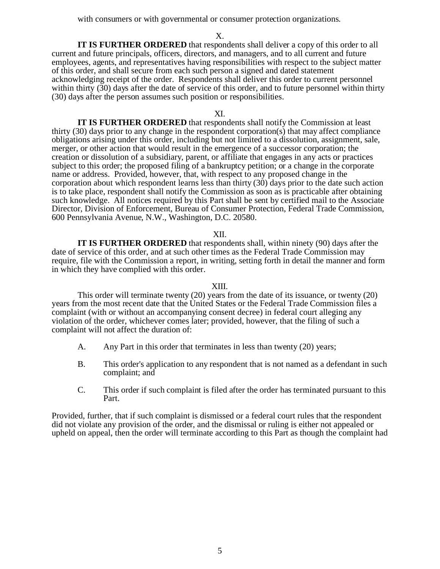with consumers or with governmental or consumer protection organizations.

X.

**IT IS FURTHER ORDERED** that respondents shall deliver a copy of this order to all current and future principals, officers, directors, and managers, and to all current and future employees, agents, and representatives having responsibilities with respect to the subject matter of this order, and shall secure from each such person a signed and dated statement acknowledging receipt of the order. Respondents shall deliver this order to current personnel within thirty (30) days after the date of service of this order, and to future personnel within thirty (30) days after the person assumes such position or responsibilities.

## XI.

**IT IS FURTHER ORDERED** that respondents shall notify the Commission at least thirty (30) days prior to any change in the respondent corporation(s) that may affect compliance obligations arising under this order, including but not limited to a dissolution, assignment, sale, merger, or other action that would result in the emergence of a successor corporation; the creation or dissolution of a subsidiary, parent, or affiliate that engages in any acts or practices subject to this order; the proposed filing of a bankruptcy petition; or a change in the corporate name or address. Provided, however, that, with respect to any proposed change in the corporation about which respondent learns less than thirty (30) days prior to the date such action is to take place, respondent shall notify the Commission as soon as is practicable after obtaining such knowledge. All notices required by this Part shall be sent by certified mail to the Associate Director, Division of Enforcement, Bureau of Consumer Protection, Federal Trade Commission, 600 Pennsylvania Avenue, N.W., Washington, D.C. 20580.

#### XII.

**IT IS FURTHER ORDERED** that respondents shall, within ninety (90) days after the date of service of this order, and at such other times as the Federal Trade Commission may require, file with the Commission a report, in writing, setting forth in detail the manner and form in which they have complied with this order.

#### XIII.

This order will terminate twenty (20) years from the date of its issuance, or twenty (20) years from the most recent date that the United States or the Federal Trade Commission files a complaint (with or without an accompanying consent decree) in federal court alleging any violation of the order, whichever comes later; provided, however, that the filing of such a complaint will not affect the duration of:

- A. Any Part in this order that terminates in less than twenty (20) years;
- B. This order's application to any respondent that is not named as a defendant in such complaint; and
- C. This order if such complaint is filed after the order has terminated pursuant to this Part.

Provided, further, that if such complaint is dismissed or a federal court rules that the respondent did not violate any provision of the order, and the dismissal or ruling is either not appealed or upheld on appeal, then the order will terminate according to this Part as though the complaint had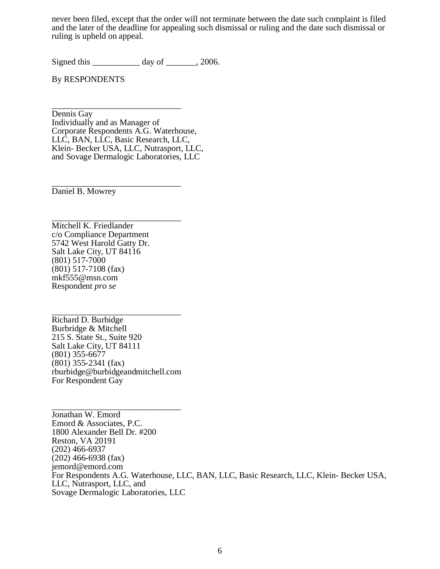never been filed, except that the order will not terminate between the date such complaint is filed and the later of the deadline for appealing such dismissal or ruling and the date such dismissal or ruling is upheld on appeal.

Signed this \_\_\_\_\_\_\_\_\_\_\_ day of \_\_\_\_\_\_, 2006.

By RESPONDENTS

\_\_\_\_\_\_\_\_\_\_\_\_\_\_\_\_\_\_\_\_\_\_\_\_\_\_\_\_\_\_ Dennis Gay Individually and as Manager of Corporate Respondents A.G. Waterhouse. LLC, BAN, LLC, Basic Research, LLC, Klein- Becker USA, LLC, Nutrasport, LLC, and Sovage Dermalogic Laboratories, LLC

\_\_\_\_\_\_\_\_\_\_\_\_\_\_\_\_\_\_\_\_\_\_\_\_\_\_\_\_\_\_ Daniel B. Mowrey

\_\_\_\_\_\_\_\_\_\_\_\_\_\_\_\_\_\_\_\_\_\_\_\_\_\_\_\_\_\_ Mitchell K. Friedlander c/o Compliance Department 5742 West Harold Gatty Dr. Salt Lake City, UT 84116 (801) 517-7000 (801) 517-7108 (fax) mkf555@msn.com Respondent *pro se* 

\_\_\_\_\_\_\_\_\_\_\_\_\_\_\_\_\_\_\_\_\_\_\_\_\_\_\_\_\_\_ Richard D. Burbidge Burbridge & Mitchell 215 S. State St., Suite 920 Salt Lake City, UT 84111 (801) 355-6677 (801) 355-2341 (fax) rburbidge@burbidgeandmitchell.com For Respondent Gay

\_\_\_\_\_\_\_\_\_\_\_\_\_\_\_\_\_\_\_\_\_\_\_\_\_\_\_\_\_\_

Jonathan W. Emord Emord & Associates, P.C. 1800 Alexander Bell Dr. #200 Reston, VA 20191 (202) 466-6937 (202) 466-6938 (fax) jemord@emord.com For Respondents A.G. Waterhouse, LLC, BAN, LLC, Basic Research, LLC, Klein- Becker USA, LLC, Nutrasport, LLC, and Sovage Dermalogic Laboratories, LLC